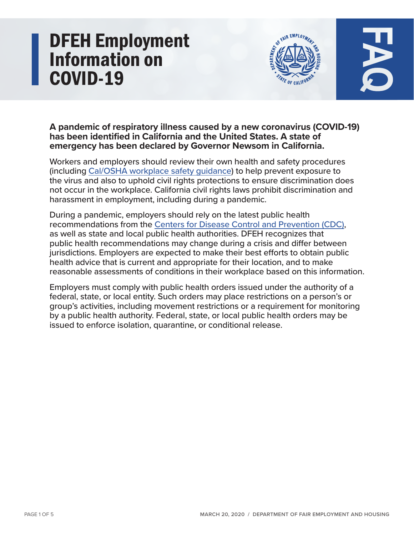# **DFEH Employment Information on COVID-19**





## A pandemic of respiratory illness caused by a new coronavirus (COVID-19) has been identified in California and the United States. A state of emergency has been declared by Governor Newsom in California.

Workers and employers should review their own health and safety procedures workers and employers should review their own health and safety procedure.<br>(including <u>Cal/OSHA workplace safety guidance</u>) to help prevent exposure to the virus and also to uphold civil rights protections to ensure discrimination does not occur in the workplace. California civil rights laws prohibit discrimination and harassment in employment, including during a pandemic.

During a pandemic, employers should rely on the latest public health recommendations from the Centers for Disease Control and Prevention (CDC), as well as state and local public health authorities. DFEH recognizes that public health recommendations may change during a crisis and differ between jurisdictions. Employers are expected to make their best efforts to obtain public health advice that is current and appropriate for their location, and to make reasonable assessments of conditions in their workplace based on this information.

Employers must comply with public health orders issued under the authority of a federal, state, or local entity. Such orders may place restrictions on a person's or group's activities, including movement restrictions or a requirement for monitoring by a public health authority. Federal, state, or local public health orders may be issued to enforce isolation, quarantine, or conditional release.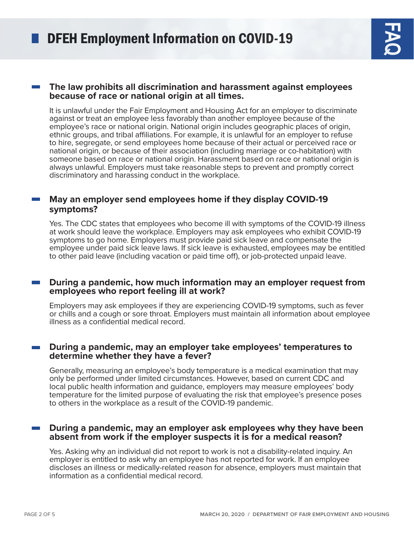#### **The law prohibits all discrimination and harassment against employees because of race or national origin at all times.**

It is unlawful under the Fair Employment and Housing Act for an employer to discriminate against or treat an employee less favorably than another employee because of the employee's race or national origin. National origin includes geographic places of origin, ethnic groups, and tribal affiliations. For example, it is unlawful for an employer to refuse to hire, segregate, or send employees home because of their actual or perceived race or national origin, or because of their association (including marriage or co-habitation) with someone based on race or national origin. Harassment based on race or national origin is always unlawful. Employers must take reasonable steps to prevent and promptly correct discriminatory and harassing conduct in the workplace.

### **May an employer send employees home if they display COVID-19 ?symptoms**

Yes. The CDC states that employees who become ill with symptoms of the COVID-19 illness at work should leave the workplace. Employers may ask employees who exhibit COVID-19 symptoms to go home. Employers must provide paid sick leave and compensate the employee under paid sick leave laws. If sick leave is exhausted, employees may be entitled to other paid leave (including vacation or paid time off), or job-protected unpaid leave.

#### **During a pandemic, how much information may an employer request from employees** who report feeling ill at work?

Employers may ask employees if they are experiencing COVID-19 symptoms, such as fever or chills and a cough or sore throat. Employers must maintain all information about employee illness as a confidential medical record.

#### **During a pandemic, may an employer take employees' temperatures to** determine whether they have a fever?

Generally, measuring an employee's body temperature is a medical examination that may only be performed under limited circumstances. However, based on current CDC and local public health information and guidance, employers may measure employees' body temperature for the limited purpose of evaluating the risk that employee's presence poses to others in the workplace as a result of the COVID-19 pandemic.

#### **During a pandemic, may an employer ask employees why they have been** absent from work if the employer suspects it is for a medical reason?

Yes. Asking why an individual did not report to work is not a disability-related inguiry. An employer is entitled to ask why an employee has not reported for work. If an employee discloses an illness or medically-related reason for absence, employers must maintain that information as a confidential medical record.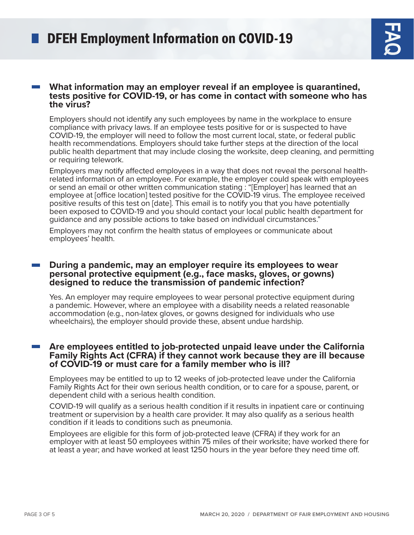#### **What information may an employer reveal if an employee is quarantined, has tests positive for COVID-19, or has come in contact with someone who has** the virus?

Employers should not identify any such employees by name in the workplace to ensure compliance with privacy laws. If an employee tests positive for or is suspected to have COVID-19, the employer will need to follow the most current local, state, or federal public health recommendations. Employers should take further steps at the direction of the local public health department that may include closing the worksite, deep cleaning, and permitting or requiring telework.

related information of an employee. For example, the employer could speak with employees Employers may notify affected employees in a way that does not reveal the personal healthor send an email or other written communication stating : "[Employer] has learned that an employee at [office location] tested positive for the COVID-19 virus. The employee received positive results of this test on [date]. This email is to notify you that you have potentially been exposed to COVID-19 and you should contact your local public health department for quidance and any possible actions to take based on individual circumstances."

Employers may not confirm the health status of employees or communicate about employees' health.

#### **During a pandemic, may an employer require its employees to wear** personal protective equipment (e.g., face masks, gloves, or gowns) **designed to reduce the transmission of pandemic infection?**

Yes. An employer may require employees to wear personal protective equipment during a pandemic. However, where an employee with a disability needs a related reasonable accommodation (e.g., non-latex gloves, or gowns designed for individuals who use wheelchairs), the employer should provide these, absent undue hardship.

#### Are employees entitled to job-protected unpaid leave under the California **Family Rights Act (CFRA) if they cannot work because they are ill because** of COVID-19 or must care for a family member who is ill?

Employees may be entitled to up to 12 weeks of job-protected leave under the California Family Rights Act for their own serious health condition, or to care for a spouse, parent, or dependent child with a serious health condition.

COVID-19 will qualify as a serious health condition if it results in inpatient care or continuing treatment or supervision by a health care provider. It may also qualify as a serious health condition if it leads to conditions such as pneumonia.

Employees are eligible for this form of job-protected leave (CFRA) if they work for an employer with at least 50 employees within 75 miles of their worksite; have worked there for at least a year; and have worked at least 1250 hours in the year before they need time off.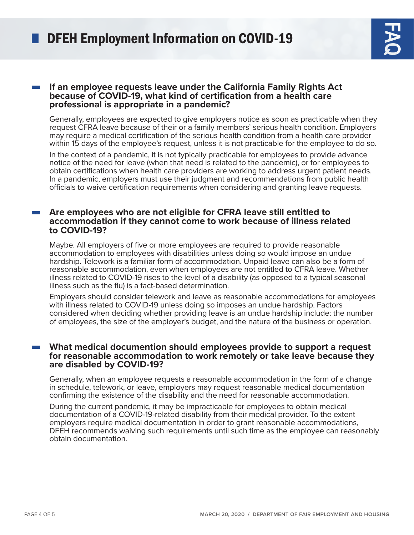#### **If an employee requests leave under the California Family Rights Act because of COVID-19, what kind of certification from a health care professional is appropriate in a pandemic?**

Generally, employees are expected to give employers notice as soon as practicable when they request CFRA leave because of their or a family members' serious health condition. Employers may require a medical certification of the serious health condition from a health care provider within 15 days of the employee's request, unless it is not practicable for the employee to do so.

In the context of a pandemic, it is not typically practicable for employees to provide advance notice of the need for leave (when that need is related to the pandemic), or for employees to obtain certifications when health care providers are working to address urgent patient needs. In a pandemic, employers must use their judgment and recommendations from public health officials to waive certification requirements when considering and granting leave requests.

#### Are employees who are not eligible for CFRA leave still entitled to accommodation if they cannot come to work because of illness related **to COVID-19?**

Maybe. All employers of five or more employees are required to provide reasonable accommodation to employees with disabilities unless doing so would impose an undue hardship. Telework is a familiar form of accommodation. Unpaid leave can also be a form of reasonable accommodation, even when employees are not entitled to CFRA leave. Whether illness related to COVID-19 rises to the level of a disability (as opposed to a typical seasonal illness such as the flu) is a fact-based determination.

Employers should consider telework and leave as reasonable accommodations for employees with illness related to COVID-19 unless doing so imposes an undue hardship. Factors considered when deciding whether providing leave is an undue hardship include: the number of employees, the size of the employer's budget, and the nature of the business or operation.

#### **What medical documention should employees provide to support a request** for reasonable accommodation to work remotely or take leave because they are disabled by **COVID-19?**

Generally, when an employee requests a reasonable accommodation in the form of a change in schedule, telework, or leave, employers may request reasonable medical documentation confirming the existence of the disability and the need for reasonable accommodation.

During the current pandemic, it may be impracticable for employees to obtain medical documentation of a COVID-19-related disability from their medical provider. To the extent employers require medical documentation in order to grant reasonable accommodations, DFEH recommends waiving such requirements until such time as the employee can reasonably obtain documentation.